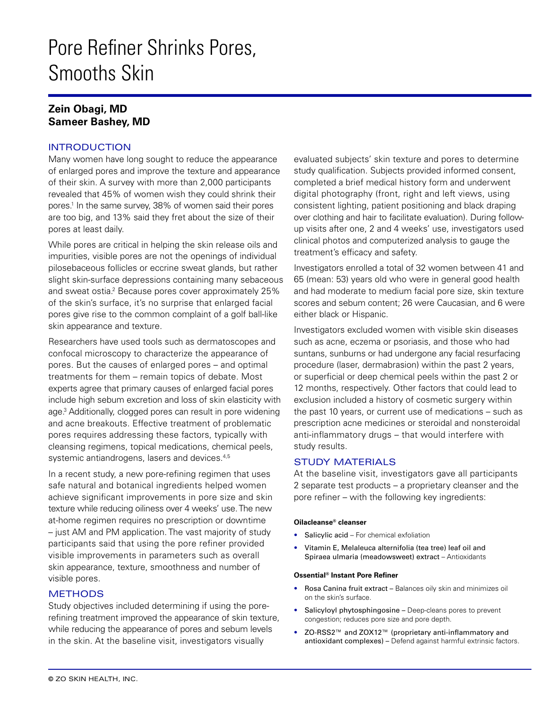# Pore Refiner Shrinks Pores, Smooths Skin

# **Zein Obagi, MD Sameer Bashey, MD**

# INTRODUCTION

Many women have long sought to reduce the appearance of enlarged pores and improve the texture and appearance of their skin. A survey with more than 2,000 participants revealed that 45% of women wish they could shrink their pores.1 In the same survey, 38% of women said their pores are too big, and 13% said they fret about the size of their pores at least daily.

While pores are critical in helping the skin release oils and impurities, visible pores are not the openings of individual pilosebaceous follicles or eccrine sweat glands, but rather slight skin-surface depressions containing many sebaceous and sweat ostia.<sup>2</sup> Because pores cover approximately 25% of the skin's surface, it's no surprise that enlarged facial pores give rise to the common complaint of a golf ball-like skin appearance and texture.

Researchers have used tools such as dermatoscopes and confocal microscopy to characterize the appearance of pores. But the causes of enlarged pores – and optimal treatments for them – remain topics of debate. Most experts agree that primary causes of enlarged facial pores include high sebum excretion and loss of skin elasticity with age.3 Additionally, clogged pores can result in pore widening and acne breakouts. Effective treatment of problematic pores requires addressing these factors, typically with cleansing regimens, topical medications, chemical peels, systemic antiandrogens, lasers and devices.<sup>4,5</sup>

In a recent study, a new pore-refining regimen that uses safe natural and botanical ingredients helped women achieve significant improvements in pore size and skin texture while reducing oiliness over 4 weeks' use. The new at-home regimen requires no prescription or downtime – just AM and PM application. The vast majority of study participants said that using the pore refiner provided visible improvements in parameters such as overall skin appearance, texture, smoothness and number of visible pores.

# **METHODS**

Study objectives included determining if using the porerefining treatment improved the appearance of skin texture, while reducing the appearance of pores and sebum levels in the skin. At the baseline visit, investigators visually

evaluated subjects' skin texture and pores to determine study qualification. Subjects provided informed consent, completed a brief medical history form and underwent digital photography (front, right and left views, using consistent lighting, patient positioning and black draping over clothing and hair to facilitate evaluation). During followup visits after one, 2 and 4 weeks' use, investigators used clinical photos and computerized analysis to gauge the treatment's efficacy and safety.

Investigators enrolled a total of 32 women between 41 and 65 (mean: 53) years old who were in general good health and had moderate to medium facial pore size, skin texture scores and sebum content; 26 were Caucasian, and 6 were either black or Hispanic.

Investigators excluded women with visible skin diseases such as acne, eczema or psoriasis, and those who had suntans, sunburns or had undergone any facial resurfacing procedure (laser, dermabrasion) within the past 2 years, or superficial or deep chemical peels within the past 2 or 12 months, respectively. Other factors that could lead to exclusion included a history of cosmetic surgery within the past 10 years, or current use of medications – such as prescription acne medicines or steroidal and nonsteroidal anti-inflammatory drugs – that would interfere with study results.

## STUDY MATERIALS

At the baseline visit, investigators gave all participants 2 separate test products – a proprietary cleanser and the pore refiner – with the following key ingredients:

## **Oilacleanse® cleanser**

- Salicylic acid For chemical exfoliation
- Vitamin E, Melaleuca alternifolia (tea tree) leaf oil and Spiraea ulmaria (meadowsweet) extract – Antioxidants

#### **Ossential® Instant Pore Refiner**

- Rosa Canina fruit extract Balances oily skin and minimizes oil on the skin's surface.
- Salicyloyl phytosphingosine Deep-cleans pores to prevent congestion; reduces pore size and pore depth.
- ZO-RSS2™ and ZOX12™ (proprietary anti-inflammatory and antioxidant complexes) – Defend against harmful extrinsic factors.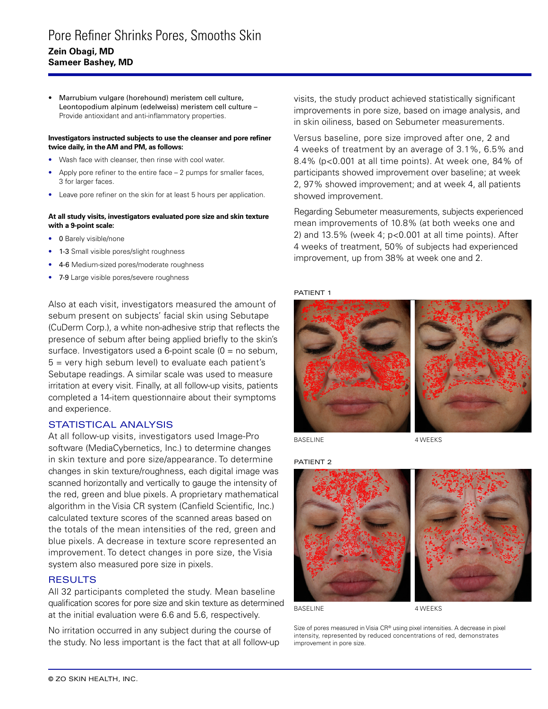• Marrubium vulgare (horehound) meristem cell culture, Leontopodium alpinum (edelweiss) meristem cell culture – Provide antioxidant and anti-inflammatory properties.

#### **Investigators instructed subjects to use the cleanser and pore refiner twice daily, in the AM and PM, as follows:**

- Wash face with cleanser, then rinse with cool water.
- Apply pore refiner to the entire face  $-2$  pumps for smaller faces, 3 for larger faces.
- Leave pore refiner on the skin for at least 5 hours per application.

#### **At all study visits, investigators evaluated pore size and skin texture with a 9-point scale:**

- 0 Barely visible/none
- 1-3 Small visible pores/slight roughness
- 4-6 Medium-sized pores/moderate roughness
- 7-9 Large visible pores/severe roughness

Also at each visit, investigators measured the amount of sebum present on subjects' facial skin using Sebutape (CuDerm Corp.), a white non-adhesive strip that reflects the presence of sebum after being applied briefly to the skin's surface. Investigators used a 6-point scale  $(0 = no$  sebum,  $5$  = very high sebum level) to evaluate each patient's Sebutape readings. A similar scale was used to measure irritation at every visit. Finally, at all follow-up visits, patients completed a 14-item questionnaire about their symptoms and experience.

## STATISTICAL ANALYSIS

At all follow-up visits, investigators used Image-Pro software (MediaCybernetics, Inc.) to determine changes in skin texture and pore size/appearance. To determine changes in skin texture/roughness, each digital image was scanned horizontally and vertically to gauge the intensity of the red, green and blue pixels. A proprietary mathematical algorithm in the Visia CR system (Canfield Scientific, Inc.) calculated texture scores of the scanned areas based on the totals of the mean intensities of the red, green and blue pixels. A decrease in texture score represented an improvement. To detect changes in pore size, the Visia system also measured pore size in pixels.

#### **RESULTS**

All 32 participants completed the study. Mean baseline qualification scores for pore size and skin texture as determined at the initial evaluation were 6.6 and 5.6, respectively.

No irritation occurred in any subject during the course of the study. No less important is the fact that at all follow-up visits, the study product achieved statistically significant improvements in pore size, based on image analysis, and in skin oiliness, based on Sebumeter measurements.

Versus baseline, pore size improved after one, 2 and 4 weeks of treatment by an average of 3.1%, 6.5% and 8.4% (p<0.001 at all time points). At week one, 84% of participants showed improvement over baseline; at week 2, 97% showed improvement; and at week 4, all patients showed improvement.

Regarding Sebumeter measurements, subjects experienced mean improvements of 10.8% (at both weeks one and 2) and  $13.5\%$  (week 4;  $p<0.001$  at all time points). After 4 weeks of treatment, 50% of subjects had experienced improvement, up from 38% at week one and 2.

### PATIENT 1



BASELINE

4 WEEKS





BASELINE

4 WEEKS

Size of pores measured in Visia CR® using pixel intensities. A decrease in pixel intensity, represented by reduced concentrations of red, demonstrates improvement in pore size.